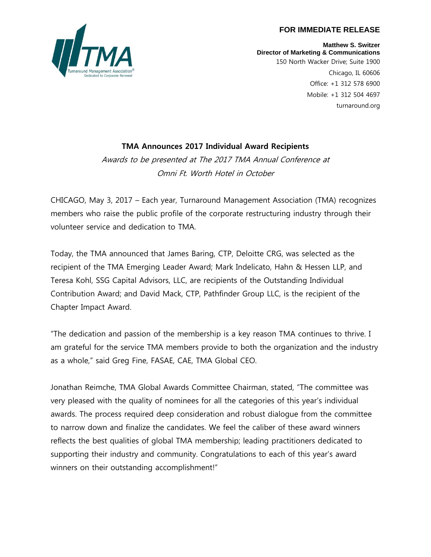#### **FOR IMMEDIATE RELEASE**



**Matthew S. Switzer Director of Marketing & Communications** 150 North Wacker Drive; Suite 1900 Chicago, IL 60606 Office: +1 312 578 6900 Mobile: +1 312 504 4697 turnaround.org

# **TMA Announces 2017 Individual Award Recipients**

Awards to be presented at The 2017 TMA Annual Conference at Omni Ft. Worth Hotel in October

CHICAGO, May 3, 2017 – Each year, Turnaround Management Association (TMA) recognizes members who raise the public profile of the corporate restructuring industry through their volunteer service and dedication to TMA.

Today, the TMA announced that James Baring, CTP, Deloitte CRG, was selected as the recipient of the TMA Emerging Leader Award; Mark Indelicato, Hahn & Hessen LLP, and Teresa Kohl, SSG Capital Advisors, LLC, are recipients of the Outstanding Individual Contribution Award; and David Mack, CTP, Pathfinder Group LLC, is the recipient of the Chapter Impact Award.

"The dedication and passion of the membership is a key reason TMA continues to thrive. I am grateful for the service TMA members provide to both the organization and the industry as a whole," said Greg Fine, FASAE, CAE, TMA Global CEO.

Jonathan Reimche, TMA Global Awards Committee Chairman, stated, "The committee was very pleased with the quality of nominees for all the categories of this year's individual awards. The process required deep consideration and robust dialogue from the committee to narrow down and finalize the candidates. We feel the caliber of these award winners reflects the best qualities of global TMA membership; leading practitioners dedicated to supporting their industry and community. Congratulations to each of this year's award winners on their outstanding accomplishment!"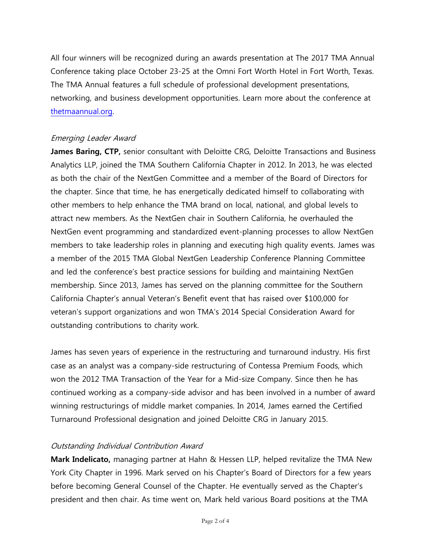All four winners will be recognized during an awards presentation at The 2017 TMA Annual Conference taking place October 23-25 at the Omni Fort Worth Hotel in Fort Worth, Texas. The TMA Annual features a full schedule of professional development presentations, networking, and business development opportunities. Learn more about the conference at [thetmaannual.org.](file:///C:/Users/MSwitzer/AppData/Local/Microsoft/Windows/Temporary%20Internet%20Files/Content.Outlook/BTGOFHZ2/thetmaannual.org)

## Emerging Leader Award

**James Baring, CTP,** senior consultant with Deloitte CRG, Deloitte Transactions and Business Analytics LLP, joined the TMA Southern California Chapter in 2012. In 2013, he was elected as both the chair of the NextGen Committee and a member of the Board of Directors for the chapter. Since that time, he has energetically dedicated himself to collaborating with other members to help enhance the TMA brand on local, national, and global levels to attract new members. As the NextGen chair in Southern California, he overhauled the NextGen event programming and standardized event-planning processes to allow NextGen members to take leadership roles in planning and executing high quality events. James was a member of the 2015 TMA Global NextGen Leadership Conference Planning Committee and led the conference's best practice sessions for building and maintaining NextGen membership. Since 2013, James has served on the planning committee for the Southern California Chapter's annual Veteran's Benefit event that has raised over \$100,000 for veteran's support organizations and won TMA's 2014 Special Consideration Award for outstanding contributions to charity work.

James has seven years of experience in the restructuring and turnaround industry. His first case as an analyst was a company-side restructuring of Contessa Premium Foods, which won the 2012 TMA Transaction of the Year for a Mid-size Company. Since then he has continued working as a company-side advisor and has been involved in a number of award winning restructurings of middle market companies. In 2014, James earned the Certified Turnaround Professional designation and joined Deloitte CRG in January 2015.

### Outstanding Individual Contribution Award

**Mark Indelicato,** managing partner at Hahn & Hessen LLP, helped revitalize the TMA New York City Chapter in 1996. Mark served on his Chapter's Board of Directors for a few years before becoming General Counsel of the Chapter. He eventually served as the Chapter's president and then chair. As time went on, Mark held various Board positions at the TMA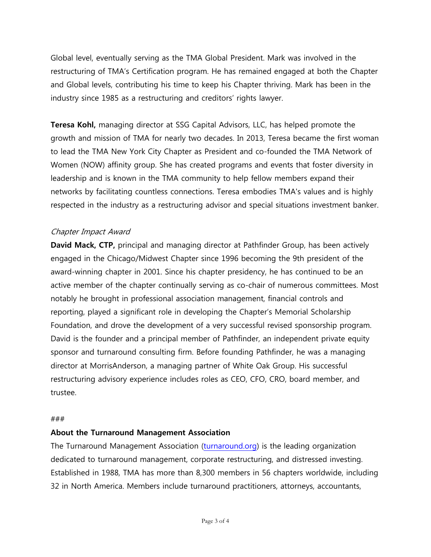Global level, eventually serving as the TMA Global President. Mark was involved in the restructuring of TMA's Certification program. He has remained engaged at both the Chapter and Global levels, contributing his time to keep his Chapter thriving. Mark has been in the industry since 1985 as a restructuring and creditors' rights lawyer.

**Teresa Kohl,** managing director at SSG Capital Advisors, LLC, has helped promote the growth and mission of TMA for nearly two decades. In 2013, Teresa became the first woman to lead the TMA New York City Chapter as President and co-founded the TMA Network of Women (NOW) affinity group. She has created programs and events that foster diversity in leadership and is known in the TMA community to help fellow members expand their networks by facilitating countless connections. Teresa embodies TMA's values and is highly respected in the industry as a restructuring advisor and special situations investment banker.

### Chapter Impact Award

**David Mack, CTP,** principal and managing director at Pathfinder Group, has been actively engaged in the Chicago/Midwest Chapter since 1996 becoming the 9th president of the award-winning chapter in 2001. Since his chapter presidency, he has continued to be an active member of the chapter continually serving as co-chair of numerous committees. Most notably he brought in professional association management, financial controls and reporting, played a significant role in developing the Chapter's Memorial Scholarship Foundation, and drove the development of a very successful revised sponsorship program. David is the founder and a principal member of Pathfinder, an independent private equity sponsor and turnaround consulting firm. Before founding Pathfinder, he was a managing director at MorrisAnderson, a managing partner of White Oak Group. His successful restructuring advisory experience includes roles as CEO, CFO, CRO, board member, and trustee.

#### ###

### **About the Turnaround Management Association**

The Turnaround Management Association [\(turnaround.org\)](http://www.turnaround.org/) is the leading organization dedicated to turnaround management, corporate restructuring, and distressed investing. Established in 1988, TMA has more than 8,300 members in 56 chapters worldwide, including 32 in North America. Members include turnaround practitioners, attorneys, accountants,